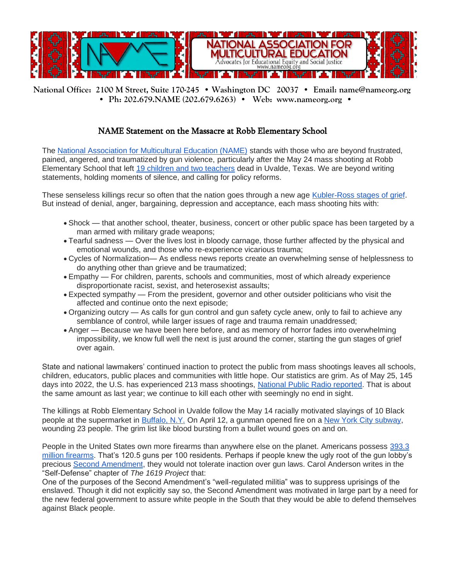

**National Office: 2100 M Street, Suite 170-245 • Washington DC 20037 • Email: name@nameorg.org • Ph: 202.679.NAME (202.679.6263) • Web: www.nameorg.org •** 

## NAME Statement on the Massacre at Robb Elementary School

The [National Association for Multicultural Education \(NAME\)](https://www.viethconsulting.com/ct.php?lid=146523589&mm=61658559993) stands with those who are beyond frustrated, pained, angered, and traumatized by gun violence, particularly after the May 24 mass shooting at Robb Elementary School that left [19 children and two teachers](https://www.viethconsulting.com/ct.php?lid=146524811&mm=61658559993) dead in Uvalde, Texas. We are beyond writing statements, holding moments of silence, and calling for policy reforms.

These senseless killings recur so often that the nation goes through a new age [Kubler-Ross stages of grief.](https://www.viethconsulting.com/ct.php?lid=146526033&mm=61658559993) But instead of denial, anger, bargaining, depression and acceptance, each mass shooting hits with:

- Shock that another school, theater, business, concert or other public space has been targeted by a man armed with military grade weapons;
- Tearful sadness Over the lives lost in bloody carnage, those further affected by the physical and emotional wounds, and those who re-experience vicarious trauma;
- Cycles of Normalization— As endless news reports create an overwhelming sense of helplessness to do anything other than grieve and be traumatized;
- Empathy For children, parents, schools and communities, most of which already experience disproportionate racist, sexist, and heterosexist assaults;
- Expected sympathy From the president, governor and other outsider politicians who visit the affected and continue onto the next episode;
- Organizing outcry As calls for gun control and gun safety cycle anew, only to fail to achieve any semblance of control, while larger issues of rage and trauma remain unaddressed;
- Anger Because we have been here before, and as memory of horror fades into overwhelming impossibility, we know full well the next is just around the corner, starting the gun stages of grief over again.

State and national lawmakers' continued inaction to protect the public from mass shootings leaves all schools, children, educators, public places and communities with little hope. Our statistics are grim. As of May 25, 145 days into 2022, the U.S. has experienced 213 mass shootings, [National Public Radio reported.](https://www.viethconsulting.com/ct.php?lid=146527255&mm=61658559993) That is about the same amount as last year; we continue to kill each other with seemingly no end in sight.

The killings at Robb Elementary School in Uvalde follow the May 14 racially motivated slayings of 10 Black people at the supermarket in [Buffalo, N.Y.](https://www.viethconsulting.com/ct.php?lid=146528477&mm=61658559993) On April 12, a gunman opened fire on a [New York City subway,](https://www.viethconsulting.com/ct.php?lid=146528477&mm=61658559993) wounding 23 people. The grim list like blood bursting from a bullet wound goes on and on.

People in the United States own more firearms than anywhere else on the planet. Americans possess [393.3](https://www.viethconsulting.com/ct.php?lid=146529699&mm=61658559993)  [million firearms.](https://www.viethconsulting.com/ct.php?lid=146529699&mm=61658559993) That's 120.5 guns per 100 residents. Perhaps if people knew the ugly root of the gun lobby's precious [Second Amendment,](https://www.viethconsulting.com/ct.php?lid=146530921&mm=61658559993) they would not tolerate inaction over gun laws. Carol Anderson writes in the "Self-Defense" chapter of *The 1619 Project* that:

One of the purposes of the Second Amendment's "well-regulated militia" was to suppress uprisings of the enslaved. Though it did not explicitly say so, the Second Amendment was motivated in large part by a need for the new federal government to assure white people in the South that they would be able to defend themselves against Black people.